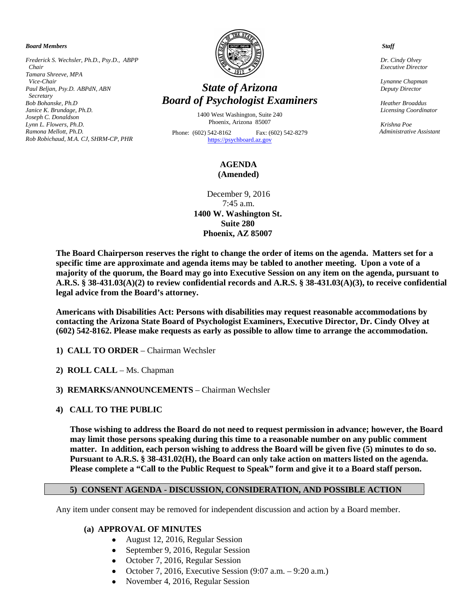*Board Members*

*Frederick S. Wechsler, Ph.D., Psy.D., ABPP Chair Tamara Shreeve, MPA Vice-Chair Paul Beljan, Psy.D. ABPdN, ABN Secretary Bob Bohanske, Ph.D Janice K. Brundage, Ph.D. Joseph C. Donaldson Lynn L. Flowers, Ph.D. Ramona Mellott, Ph.D. Rob Robichaud, M.A. CJ, SHRM-CP, PHR*



# *State of Arizona Board of Psychologist Examiners*

1400 West Washington, Suite 240 Phoenix, Arizona 85007

Phone: (602) 542-8162 Fax: (602) 542-8279 [https://psychboard.az.gov](https://psychboard.az.gov/) 

## **AGENDA (Amended)**

December 9, 2016 7:45 a.m. **1400 W. Washington St. Suite 280 Phoenix, AZ 85007**

**The Board Chairperson reserves the right to change the order of items on the agenda. Matters set for a specific time are approximate and agenda items may be tabled to another meeting. Upon a vote of a majority of the quorum, the Board may go into Executive Session on any item on the agenda, pursuant to A.R.S. § 38-431.03(A)(2) to review confidential records and A.R.S. § 38-431.03(A)(3), to receive confidential legal advice from the Board's attorney.**

**Americans with Disabilities Act: Persons with disabilities may request reasonable accommodations by contacting the Arizona State Board of Psychologist Examiners, Executive Director, Dr. Cindy Olvey at (602) 542-8162. Please make requests as early as possible to allow time to arrange the accommodation.**

- **1) CALL TO ORDER** Chairman Wechsler
- **2) ROLL CALL** Ms. Chapman
- **3) REMARKS/ANNOUNCEMENTS** Chairman Wechsler
- **4) CALL TO THE PUBLIC**

**Those wishing to address the Board do not need to request permission in advance; however, the Board may limit those persons speaking during this time to a reasonable number on any public comment matter. In addition, each person wishing to address the Board will be given five (5) minutes to do so. Pursuant to A.R.S. § 38-431.02(H), the Board can only take action on matters listed on the agenda. Please complete a "Call to the Public Request to Speak" form and give it to a Board staff person.**

# **5) CONSENT AGENDA - DISCUSSION, CONSIDERATION, AND POSSIBLE ACTION**

Any item under consent may be removed for independent discussion and action by a Board member.

#### **(a) APPROVAL OF MINUTES**

- August 12, 2016, Regular Session
- September 9, 2016, Regular Session
- October 7, 2016, Regular Session
- October 7, 2016, Executive Session  $(9:07 \text{ a.m.} 9:20 \text{ a.m.})$
- November 4, 2016, Regular Session

 *Staff*

 *Dr. Cindy Olvey Executive Director*

 *Lynanne Chapman Deputy Director*

 *Heather Broaddus Licensing Coordinator* 

 *Krishna Poe Administrative Assistant*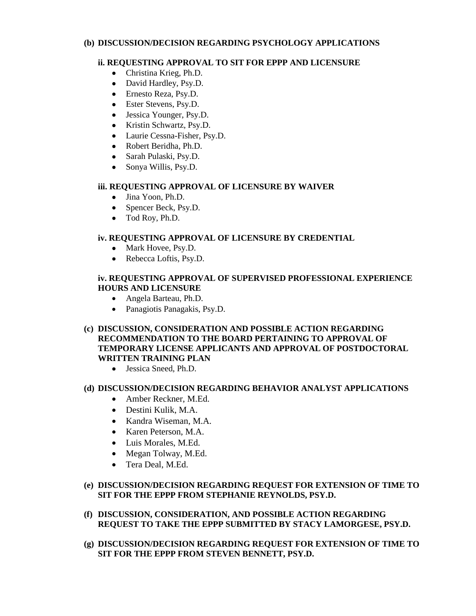## **(b) DISCUSSION/DECISION REGARDING PSYCHOLOGY APPLICATIONS**

# **ii. REQUESTING APPROVAL TO SIT FOR EPPP AND LICENSURE**

- Christina Krieg, Ph.D.
- David Hardley, Psy.D.
- Ernesto Reza, Psy.D.
- Ester Stevens, Psy.D.
- Jessica Younger, Psy.D.
- Kristin Schwartz, Psy.D.
- Laurie Cessna-Fisher, Psy.D.
- Robert Beridha, Ph.D.
- Sarah Pulaski, Psv.D.
- Sonya Willis, Psy.D.

## **iii. REQUESTING APPROVAL OF LICENSURE BY WAIVER**

- Jina Yoon, Ph.D.
- Spencer Beck, Psy.D.
- Tod Roy, Ph.D.

# **iv. REQUESTING APPROVAL OF LICENSURE BY CREDENTIAL**

- Mark Hovee, Psy.D.
- Rebecca Loftis, Psy.D.

## **iv. REQUESTING APPROVAL OF SUPERVISED PROFESSIONAL EXPERIENCE HOURS AND LICENSURE**

- Angela Barteau, Ph.D.
- Panagiotis Panagakis, Psy.D.

## **(c) DISCUSSION, CONSIDERATION AND POSSIBLE ACTION REGARDING RECOMMENDATION TO THE BOARD PERTAINING TO APPROVAL OF TEMPORARY LICENSE APPLICANTS AND APPROVAL OF POSTDOCTORAL WRITTEN TRAINING PLAN**

• Jessica Sneed, Ph.D.

# **(d) DISCUSSION/DECISION REGARDING BEHAVIOR ANALYST APPLICATIONS**

- Amber Reckner, M.Ed.
- Destini Kulik, M.A.
- Kandra Wiseman, M.A.
- Karen Peterson, M.A.
- Luis Morales, M.Ed.
- Megan Tolway, M.Ed.
- Tera Deal, M.Ed.

# **(e) DISCUSSION/DECISION REGARDING REQUEST FOR EXTENSION OF TIME TO SIT FOR THE EPPP FROM STEPHANIE REYNOLDS, PSY.D.**

- **(f) DISCUSSION, CONSIDERATION, AND POSSIBLE ACTION REGARDING REQUEST TO TAKE THE EPPP SUBMITTED BY STACY LAMORGESE, PSY.D.**
- **(g) DISCUSSION/DECISION REGARDING REQUEST FOR EXTENSION OF TIME TO SIT FOR THE EPPP FROM STEVEN BENNETT, PSY.D.**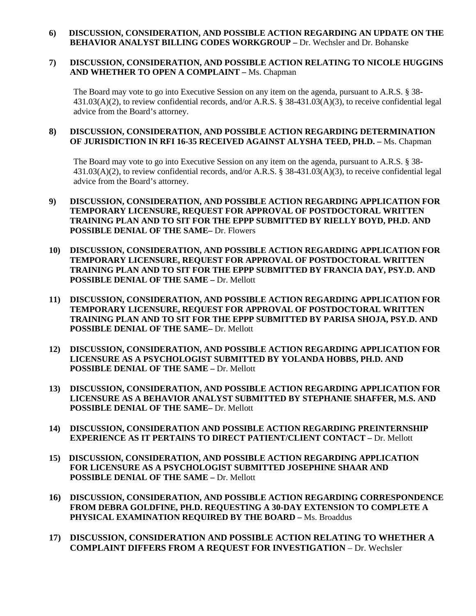#### **6) DISCUSSION, CONSIDERATION, AND POSSIBLE ACTION REGARDING AN UPDATE ON THE BEHAVIOR ANALYST BILLING CODES WORKGROUP –** Dr. Wechsler and Dr. Bohanske

#### **7) DISCUSSION, CONSIDERATION, AND POSSIBLE ACTION RELATING TO NICOLE HUGGINS AND WHETHER TO OPEN A COMPLAINT –** Ms. Chapman

The Board may vote to go into Executive Session on any item on the agenda, pursuant to A.R.S. § 38-431.03(A)(2), to review confidential records, and/or A.R.S. § 38-431.03(A)(3), to receive confidential legal advice from the Board's attorney.

#### **8) DISCUSSION, CONSIDERATION, AND POSSIBLE ACTION REGARDING DETERMINATION OF JURISDICTION IN RFI 16-35 RECEIVED AGAINST ALYSHA TEED, PH.D. –** Ms. Chapman

The Board may vote to go into Executive Session on any item on the agenda, pursuant to A.R.S. § 38- 431.03(A)(2), to review confidential records, and/or A.R.S. § 38-431.03(A)(3), to receive confidential legal advice from the Board's attorney.

- **9) DISCUSSION, CONSIDERATION, AND POSSIBLE ACTION REGARDING APPLICATION FOR TEMPORARY LICENSURE, REQUEST FOR APPROVAL OF POSTDOCTORAL WRITTEN TRAINING PLAN AND TO SIT FOR THE EPPP SUBMITTED BY RIELLY BOYD, PH.D. AND POSSIBLE DENIAL OF THE SAME–** Dr. Flowers
- **10) DISCUSSION, CONSIDERATION, AND POSSIBLE ACTION REGARDING APPLICATION FOR TEMPORARY LICENSURE, REQUEST FOR APPROVAL OF POSTDOCTORAL WRITTEN TRAINING PLAN AND TO SIT FOR THE EPPP SUBMITTED BY FRANCIA DAY, PSY.D. AND POSSIBLE DENIAL OF THE SAME –** Dr. Mellott
- **11) DISCUSSION, CONSIDERATION, AND POSSIBLE ACTION REGARDING APPLICATION FOR TEMPORARY LICENSURE, REQUEST FOR APPROVAL OF POSTDOCTORAL WRITTEN TRAINING PLAN AND TO SIT FOR THE EPPP SUBMITTED BY PARISA SHOJA, PSY.D. AND POSSIBLE DENIAL OF THE SAME–** Dr. Mellott
- **12) DISCUSSION, CONSIDERATION, AND POSSIBLE ACTION REGARDING APPLICATION FOR LICENSURE AS A PSYCHOLOGIST SUBMITTED BY YOLANDA HOBBS, PH.D. AND POSSIBLE DENIAL OF THE SAME –** Dr. Mellott
- **13) DISCUSSION, CONSIDERATION, AND POSSIBLE ACTION REGARDING APPLICATION FOR LICENSURE AS A BEHAVIOR ANALYST SUBMITTED BY STEPHANIE SHAFFER, M.S. AND POSSIBLE DENIAL OF THE SAME–** Dr. Mellott
- **14) DISCUSSION, CONSIDERATION AND POSSIBLE ACTION REGARDING PREINTERNSHIP EXPERIENCE AS IT PERTAINS TO DIRECT PATIENT/CLIENT CONTACT –** Dr. Mellott
- **15) DISCUSSION, CONSIDERATION, AND POSSIBLE ACTION REGARDING APPLICATION FOR LICENSURE AS A PSYCHOLOGIST SUBMITTED JOSEPHINE SHAAR AND POSSIBLE DENIAL OF THE SAME –** Dr. Mellott
- **16) DISCUSSION, CONSIDERATION, AND POSSIBLE ACTION REGARDING CORRESPONDENCE FROM DEBRA GOLDFINE, PH.D. REQUESTING A 30-DAY EXTENSION TO COMPLETE A PHYSICAL EXAMINATION REQUIRED BY THE BOARD –** Ms. Broaddus
- **17) DISCUSSION, CONSIDERATION AND POSSIBLE ACTION RELATING TO WHETHER A COMPLAINT DIFFERS FROM A REQUEST FOR INVESTIGATION** – Dr. Wechsler